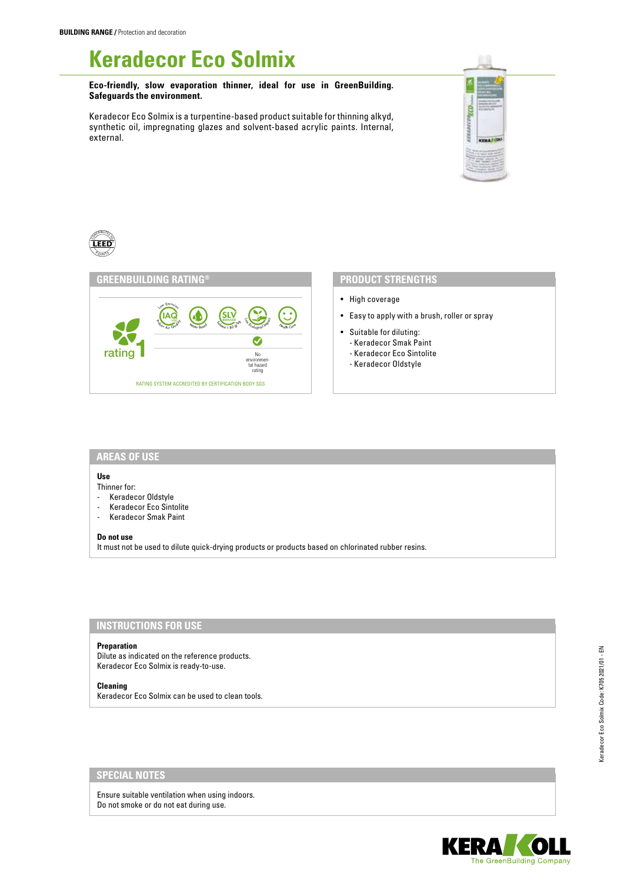# **Keradecor Eco Solmix**

**Eco-friendly, slow evaporation thinner, ideal for use in GreenBuilding. Safeguards the environment.**

Keradecor Eco Solmix is a turpentine-based product suitable for thinning alkyd, synthetic oil, impregnating glazes and solvent-based acrylic paints. Internal, external.





- High coverage
- Easy to apply with a brush, roller or spray
- Suitable for diluting:
- Keradecor Smak Paint
- Keradecor Eco Sintolite
- Keradecor Oldstyle

### **AREAS OF USE**

# **Use**

CONTRIBUTES  $20n$ 175

Thinner for:

- Keradecor Oldstyle
- Keradecor Eco Sintolite
- Keradecor Smak Paint

#### **Do not use**

It must not be used to dilute quick-drying products or products based on chlorinated rubber resins.

# **INSTRUCTIONS FOR USE**

#### **Preparation**

Dilute as indicated on the reference products. Keradecor Eco Solmix is ready-to-use.

#### **Cleaning**

Keradecor Eco Solmix can be used to clean tools.

# **SPECIAL NOTES**

Ensure suitable ventilation when using indoors. Do not smoke or do not eat during use.